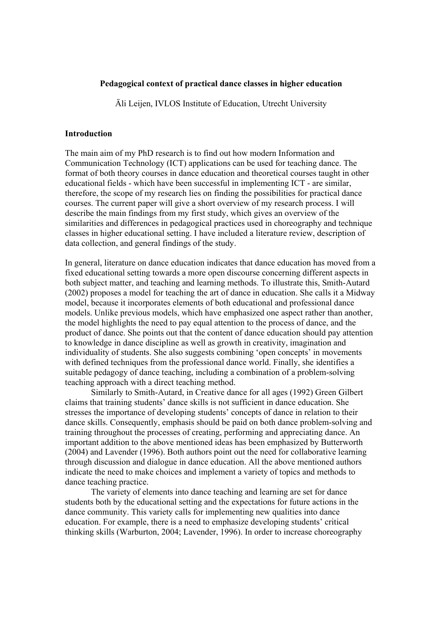## **Pedagogical context of practical dance classes in higher education**

Äli Leijen, IVLOS Institute of Education, Utrecht University

### **Introduction**

The main aim of my PhD research is to find out how modern Information and Communication Technology (ICT) applications can be used for teaching dance. The format of both theory courses in dance education and theoretical courses taught in other educational fields - which have been successful in implementing ICT - are similar, therefore, the scope of my research lies on finding the possibilities for practical dance courses. The current paper will give a short overview of my research process. I will describe the main findings from my first study, which gives an overview of the similarities and differences in pedagogical practices used in choreography and technique classes in higher educational setting. I have included a literature review, description of data collection, and general findings of the study.

In general, literature on dance education indicates that dance education has moved from a fixed educational setting towards a more open discourse concerning different aspects in both subject matter, and teaching and learning methods. To illustrate this, Smith-Autard (2002) proposes a model for teaching the art of dance in education. She calls it a Midway model, because it incorporates elements of both educational and professional dance models. Unlike previous models, which have emphasized one aspect rather than another, the model highlights the need to pay equal attention to the process of dance, and the product of dance. She points out that the content of dance education should pay attention to knowledge in dance discipline as well as growth in creativity, imagination and individuality of students. She also suggests combining 'open concepts' in movements with defined techniques from the professional dance world. Finally, she identifies a suitable pedagogy of dance teaching, including a combination of a problem-solving teaching approach with a direct teaching method.

 Similarly to Smith-Autard, in Creative dance for all ages (1992) Green Gilbert claims that training students' dance skills is not sufficient in dance education. She stresses the importance of developing students' concepts of dance in relation to their dance skills. Consequently, emphasis should be paid on both dance problem-solving and training throughout the processes of creating, performing and appreciating dance. An important addition to the above mentioned ideas has been emphasized by Butterworth (2004) and Lavender (1996). Both authors point out the need for collaborative learning through discussion and dialogue in dance education. All the above mentioned authors indicate the need to make choices and implement a variety of topics and methods to dance teaching practice.

 The variety of elements into dance teaching and learning are set for dance students both by the educational setting and the expectations for future actions in the dance community. This variety calls for implementing new qualities into dance education. For example, there is a need to emphasize developing students' critical thinking skills (Warburton, 2004; Lavender, 1996). In order to increase choreography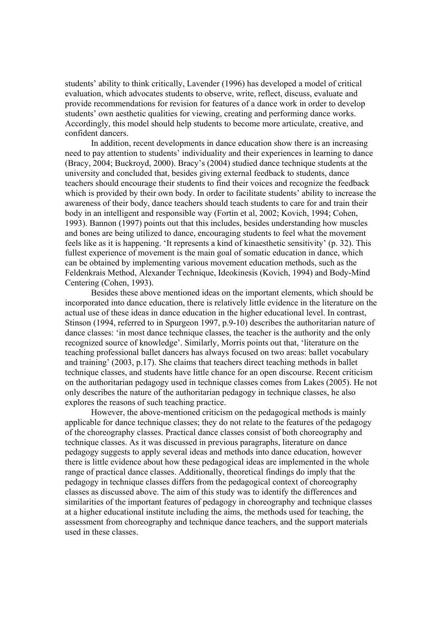students' ability to think critically, Lavender (1996) has developed a model of critical evaluation, which advocates students to observe, write, reflect, discuss, evaluate and provide recommendations for revision for features of a dance work in order to develop students' own aesthetic qualities for viewing, creating and performing dance works. Accordingly, this model should help students to become more articulate, creative, and confident dancers.

 In addition, recent developments in dance education show there is an increasing need to pay attention to students' individuality and their experiences in learning to dance (Bracy, 2004; Buckroyd, 2000). Bracy's (2004) studied dance technique students at the university and concluded that, besides giving external feedback to students, dance teachers should encourage their students to find their voices and recognize the feedback which is provided by their own body. In order to facilitate students' ability to increase the awareness of their body, dance teachers should teach students to care for and train their body in an intelligent and responsible way (Fortin et al, 2002; Kovich, 1994; Cohen, 1993). Bannon (1997) points out that this includes, besides understanding how muscles and bones are being utilized to dance, encouraging students to feel what the movement feels like as it is happening. 'It represents a kind of kinaesthetic sensitivity' (p. 32). This fullest experience of movement is the main goal of somatic education in dance, which can be obtained by implementing various movement education methods, such as the Feldenkrais Method, Alexander Technique, Ideokinesis (Kovich, 1994) and Body-Mind Centering (Cohen, 1993).

 Besides these above mentioned ideas on the important elements, which should be incorporated into dance education, there is relatively little evidence in the literature on the actual use of these ideas in dance education in the higher educational level. In contrast, Stinson (1994, referred to in Spurgeon 1997, p.9-10) describes the authoritarian nature of dance classes: 'in most dance technique classes, the teacher is the authority and the only recognized source of knowledge'. Similarly, Morris points out that, 'literature on the teaching professional ballet dancers has always focused on two areas: ballet vocabulary and training' (2003, p.17). She claims that teachers direct teaching methods in ballet technique classes, and students have little chance for an open discourse. Recent criticism on the authoritarian pedagogy used in technique classes comes from Lakes (2005). He not only describes the nature of the authoritarian pedagogy in technique classes, he also explores the reasons of such teaching practice.

 However, the above-mentioned criticism on the pedagogical methods is mainly applicable for dance technique classes; they do not relate to the features of the pedagogy of the choreography classes. Practical dance classes consist of both choreography and technique classes. As it was discussed in previous paragraphs, literature on dance pedagogy suggests to apply several ideas and methods into dance education, however there is little evidence about how these pedagogical ideas are implemented in the whole range of practical dance classes. Additionally, theoretical findings do imply that the pedagogy in technique classes differs from the pedagogical context of choreography classes as discussed above. The aim of this study was to identify the differences and similarities of the important features of pedagogy in choreography and technique classes at a higher educational institute including the aims, the methods used for teaching, the assessment from choreography and technique dance teachers, and the support materials used in these classes.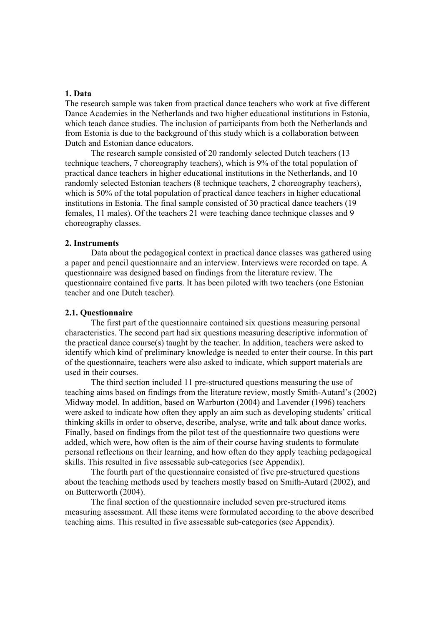## **1. Data**

The research sample was taken from practical dance teachers who work at five different Dance Academies in the Netherlands and two higher educational institutions in Estonia, which teach dance studies. The inclusion of participants from both the Netherlands and from Estonia is due to the background of this study which is a collaboration between Dutch and Estonian dance educators.

 The research sample consisted of 20 randomly selected Dutch teachers (13 technique teachers, 7 choreography teachers), which is 9% of the total population of practical dance teachers in higher educational institutions in the Netherlands, and 10 randomly selected Estonian teachers (8 technique teachers, 2 choreography teachers), which is 50% of the total population of practical dance teachers in higher educational institutions in Estonia. The final sample consisted of 30 practical dance teachers (19 females, 11 males). Of the teachers 21 were teaching dance technique classes and 9 choreography classes.

## **2. Instruments**

 Data about the pedagogical context in practical dance classes was gathered using a paper and pencil questionnaire and an interview. Interviews were recorded on tape. A questionnaire was designed based on findings from the literature review. The questionnaire contained five parts. It has been piloted with two teachers (one Estonian teacher and one Dutch teacher).

## **2.1. Questionnaire**

 The first part of the questionnaire contained six questions measuring personal characteristics. The second part had six questions measuring descriptive information of the practical dance course(s) taught by the teacher. In addition, teachers were asked to identify which kind of preliminary knowledge is needed to enter their course. In this part of the questionnaire, teachers were also asked to indicate, which support materials are used in their courses.

 The third section included 11 pre-structured questions measuring the use of teaching aims based on findings from the literature review, mostly Smith-Autard's (2002) Midway model. In addition, based on Warburton (2004) and Lavender (1996) teachers were asked to indicate how often they apply an aim such as developing students' critical thinking skills in order to observe, describe, analyse, write and talk about dance works. Finally, based on findings from the pilot test of the questionnaire two questions were added, which were, how often is the aim of their course having students to formulate personal reflections on their learning, and how often do they apply teaching pedagogical skills. This resulted in five assessable sub-categories (see Appendix).

 The fourth part of the questionnaire consisted of five pre-structured questions about the teaching methods used by teachers mostly based on Smith-Autard (2002), and on Butterworth (2004).

 The final section of the questionnaire included seven pre-structured items measuring assessment. All these items were formulated according to the above described teaching aims. This resulted in five assessable sub-categories (see Appendix).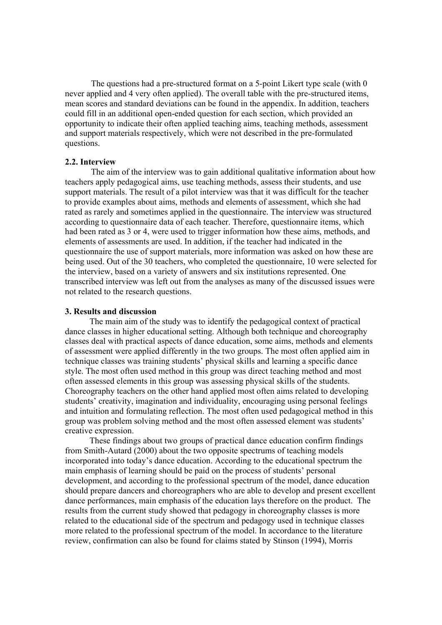The questions had a pre-structured format on a 5-point Likert type scale (with 0 never applied and 4 very often applied). The overall table with the pre-structured items, mean scores and standard deviations can be found in the appendix. In addition, teachers could fill in an additional open-ended question for each section, which provided an opportunity to indicate their often applied teaching aims, teaching methods, assessment and support materials respectively, which were not described in the pre-formulated questions.

### **2.2. Interview**

The aim of the interview was to gain additional qualitative information about how teachers apply pedagogical aims, use teaching methods, assess their students, and use support materials. The result of a pilot interview was that it was difficult for the teacher to provide examples about aims, methods and elements of assessment, which she had rated as rarely and sometimes applied in the questionnaire. The interview was structured according to questionnaire data of each teacher. Therefore, questionnaire items, which had been rated as 3 or 4, were used to trigger information how these aims, methods, and elements of assessments are used. In addition, if the teacher had indicated in the questionnaire the use of support materials, more information was asked on how these are being used. Out of the 30 teachers, who completed the questionnaire, 10 were selected for the interview, based on a variety of answers and six institutions represented. One transcribed interview was left out from the analyses as many of the discussed issues were not related to the research questions.

## **3. Results and discussion**

The main aim of the study was to identify the pedagogical context of practical dance classes in higher educational setting. Although both technique and choreography classes deal with practical aspects of dance education, some aims, methods and elements of assessment were applied differently in the two groups. The most often applied aim in technique classes was training students' physical skills and learning a specific dance style. The most often used method in this group was direct teaching method and most often assessed elements in this group was assessing physical skills of the students. Choreography teachers on the other hand applied most often aims related to developing students' creativity, imagination and individuality, encouraging using personal feelings and intuition and formulating reflection. The most often used pedagogical method in this group was problem solving method and the most often assessed element was students' creative expression.

These findings about two groups of practical dance education confirm findings from Smith-Autard (2000) about the two opposite spectrums of teaching models incorporated into today's dance education. According to the educational spectrum the main emphasis of learning should be paid on the process of students' personal development, and according to the professional spectrum of the model, dance education should prepare dancers and choreographers who are able to develop and present excellent dance performances, main emphasis of the education lays therefore on the product. The results from the current study showed that pedagogy in choreography classes is more related to the educational side of the spectrum and pedagogy used in technique classes more related to the professional spectrum of the model. In accordance to the literature review, confirmation can also be found for claims stated by Stinson (1994), Morris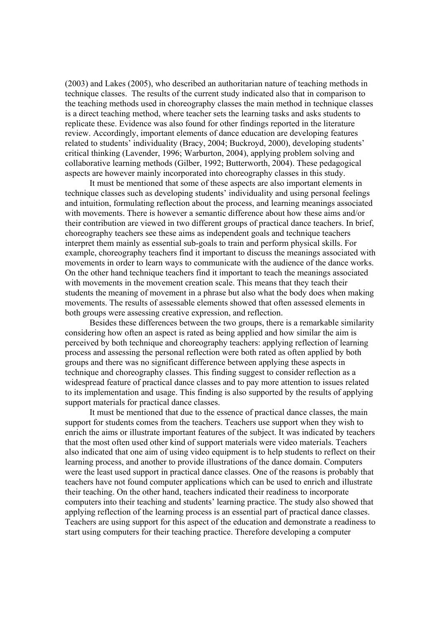(2003) and Lakes (2005), who described an authoritarian nature of teaching methods in technique classes. The results of the current study indicated also that in comparison to the teaching methods used in choreography classes the main method in technique classes is a direct teaching method, where teacher sets the learning tasks and asks students to replicate these. Evidence was also found for other findings reported in the literature review. Accordingly, important elements of dance education are developing features related to students' individuality (Bracy, 2004; Buckroyd, 2000), developing students' critical thinking (Lavender, 1996; Warburton, 2004), applying problem solving and collaborative learning methods (Gilber, 1992; Butterworth, 2004). These pedagogical aspects are however mainly incorporated into choreography classes in this study.

It must be mentioned that some of these aspects are also important elements in technique classes such as developing students' individuality and using personal feelings and intuition, formulating reflection about the process, and learning meanings associated with movements. There is however a semantic difference about how these aims and/or their contribution are viewed in two different groups of practical dance teachers. In brief, choreography teachers see these aims as independent goals and technique teachers interpret them mainly as essential sub-goals to train and perform physical skills. For example, choreography teachers find it important to discuss the meanings associated with movements in order to learn ways to communicate with the audience of the dance works. On the other hand technique teachers find it important to teach the meanings associated with movements in the movement creation scale. This means that they teach their students the meaning of movement in a phrase but also what the body does when making movements. The results of assessable elements showed that often assessed elements in both groups were assessing creative expression, and reflection.

Besides these differences between the two groups, there is a remarkable similarity considering how often an aspect is rated as being applied and how similar the aim is perceived by both technique and choreography teachers: applying reflection of learning process and assessing the personal reflection were both rated as often applied by both groups and there was no significant difference between applying these aspects in technique and choreography classes. This finding suggest to consider reflection as a widespread feature of practical dance classes and to pay more attention to issues related to its implementation and usage. This finding is also supported by the results of applying support materials for practical dance classes.

It must be mentioned that due to the essence of practical dance classes, the main support for students comes from the teachers. Teachers use support when they wish to enrich the aims or illustrate important features of the subject. It was indicated by teachers that the most often used other kind of support materials were video materials. Teachers also indicated that one aim of using video equipment is to help students to reflect on their learning process, and another to provide illustrations of the dance domain. Computers were the least used support in practical dance classes. One of the reasons is probably that teachers have not found computer applications which can be used to enrich and illustrate their teaching. On the other hand, teachers indicated their readiness to incorporate computers into their teaching and students' learning practice. The study also showed that applying reflection of the learning process is an essential part of practical dance classes. Teachers are using support for this aspect of the education and demonstrate a readiness to start using computers for their teaching practice. Therefore developing a computer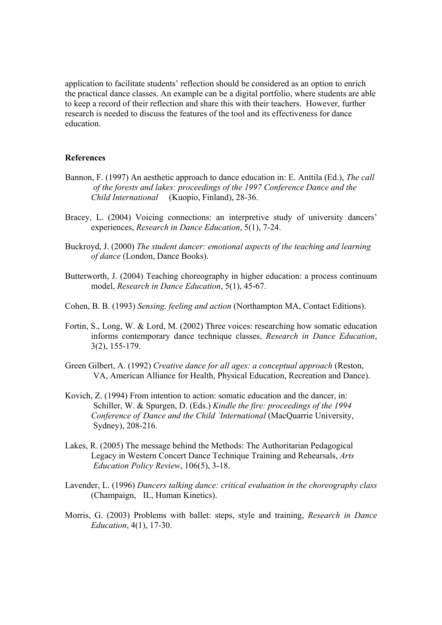application to facilitate students' reflection should be considered as an option to enrich the practical dance classes. An example can be a digital portfolio, where students are able to keep a record of their reflection and share this with their teachers. However, further research is needed to discuss the features of the tool and its effectiveness for dance education.

#### **References**

- Bannon, F. (1997) An aesthetic approach to dance education in: E. Anttila (Ed.), *The call of the forests and lakes: proceedings of the 1997 Conference Dance and the Child International* (Kuopio, Finland), 28-36.
- Bracey, L. (2004) Voicing connections: an interpretive study of university dancers' experiences, *Research in Dance Education*, 5(1), 7-24.
- Buckroyd, J. (2000) *The student dancer: emotional aspects of the teaching and learning of dance* (London, Dance Books).
- Butterworth, J. (2004) Teaching choreography in higher education: a process continuum model, *Research in Dance Education*, 5(1), 45-67.
- Cohen, B. B. (1993) *Sensing, feeling and action* (Northampton MA, Contact Editions).
- Fortin, S., Long, W. & Lord, M. (2002) Three voices: researching how somatic education informs contemporary dance technique classes, *Research in Dance Education*, 3(2), 155-179.
- Green Gilbert, A. (1992) *Creative dance for all ages: a conceptual approach* (Reston, VA, American Alliance for Health, Physical Education, Recreation and Dance).
- Kovich, Z. (1994) From intention to action: somatic education and the dancer, in: Schiller, W. & Spurgen, D. (Eds.) *Kindle the fire: proceedings of the 1994 Conference of Dance and the Child `International* (MacQuarrie University, Sydney), 208-216.
- Lakes, R. (2005) The message behind the Methods: The Authoritarian Pedagogical Legacy in Western Concert Dance Technique Training and Rehearsals, *Arts Education Policy Review*, 106(5), 3-18.
- Lavender, L. (1996) *Dancers talking dance: critical evaluation in the choreography class* (Champaign, IL, Human Kinetics).
- Morris, G. (2003) Problems with ballet: steps, style and training, *Research in Dance Education*, 4(1), 17-30.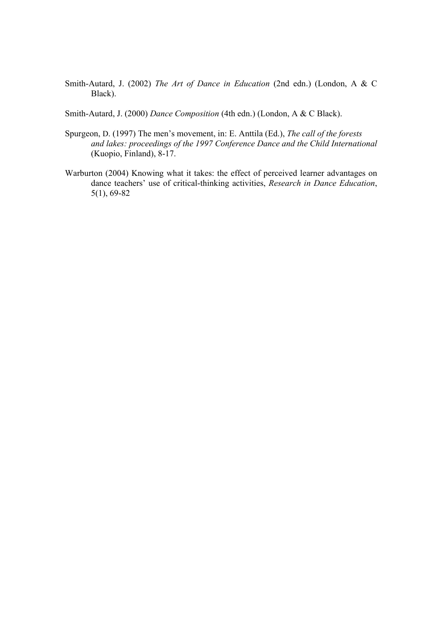- Smith-Autard, J. (2002) *The Art of Dance in Education* (2nd edn.) (London, A & C Black).
- Smith-Autard, J. (2000) *Dance Composition* (4th edn.) (London, A & C Black).
- Spurgeon, D. (1997) The men's movement, in: E. Anttila (Ed.), *The call of the forests and lakes: proceedings of the 1997 Conference Dance and the Child International*  (Kuopio, Finland), 8-17.
- Warburton (2004) Knowing what it takes: the effect of perceived learner advantages on dance teachers' use of critical-thinking activities, *Research in Dance Education*, 5(1), 69-82